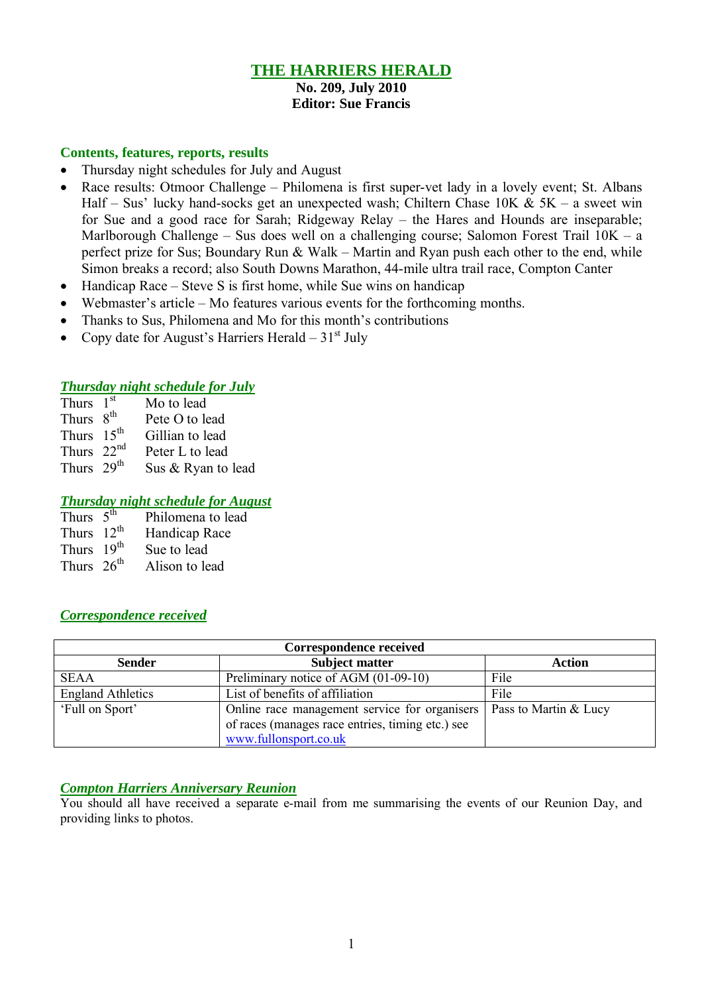# **THE HARRIERS HERALD**

# **No. 209, July 2010**

### **Editor: Sue Francis**

### **Contents, features, reports, results**

- Thursday night schedules for July and August
- Race results: Otmoor Challenge Philomena is first super-vet lady in a lovely event; St. Albans Half – Sus' lucky hand-socks get an unexpected wash; Chiltern Chase  $10K \& 5K - a$  sweet win for Sue and a good race for Sarah; Ridgeway Relay – the Hares and Hounds are inseparable; Marlborough Challenge – Sus does well on a challenging course; Salomon Forest Trail 10K – a perfect prize for Sus; Boundary Run  $&$  Walk – Martin and Ryan push each other to the end, while Simon breaks a record; also South Downs Marathon, 44-mile ultra trail race, Compton Canter
- $\bullet$  Handicap Race Steve S is first home, while Sue wins on handicap
- Webmaster's article Mo features various events for the forthcoming months.
- Thanks to Sus, Philomena and Mo for this month's contributions
- Copy date for August's Harriers Herald  $31<sup>st</sup>$  July

### *Thursday night schedule for July*

| Thurs $1st$            | Mo to lead         |
|------------------------|--------------------|
| Thurs 8 <sup>th</sup>  | Pete O to lead     |
| Thurs $15th$           | Gillian to lead    |
| Thurs $22nd$           | Peter L to lead    |
| Thurs 29 <sup>th</sup> | Sus & Ryan to lead |

### *Thursday night schedule for August*

| Thurs $5^{\overline{th}}$ | Philomena to lead |
|---------------------------|-------------------|
| Thurs $12^{th}$           | Handicap Race     |
| Thurs 19 <sup>th</sup>    | Sue to lead       |
| Thurs $26th$              | Alison to lead    |

## *Correspondence received*

| <b>Correspondence received</b> |                                                                                                                            |                       |  |  |  |  |
|--------------------------------|----------------------------------------------------------------------------------------------------------------------------|-----------------------|--|--|--|--|
| <b>Sender</b>                  | <b>Subject matter</b>                                                                                                      | <b>Action</b>         |  |  |  |  |
| <b>SEAA</b>                    | Preliminary notice of AGM (01-09-10)                                                                                       | File                  |  |  |  |  |
| <b>England Athletics</b>       | List of benefits of affiliation                                                                                            | File                  |  |  |  |  |
| 'Full on Sport'                | Online race management service for organisers<br>of races (manages race entries, timing etc.) see<br>www.fullonsport.co.uk | Pass to Martin & Lucy |  |  |  |  |

### *Compton Harriers Anniversary Reunion*

You should all have received a separate e-mail from me summarising the events of our Reunion Day, and providing links to photos.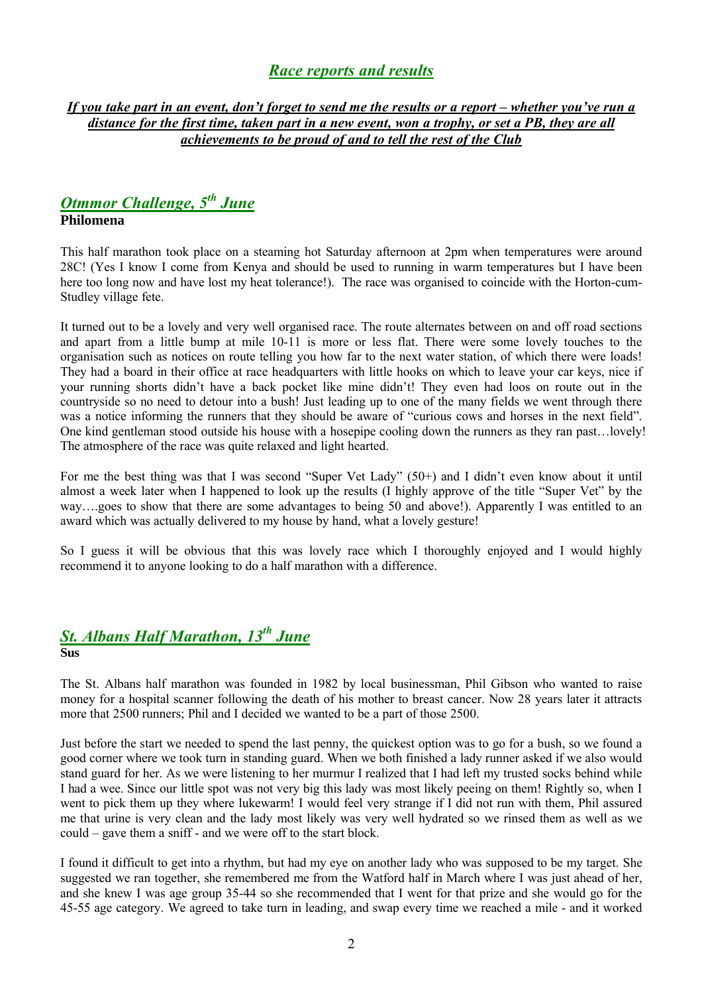## *Race reports and results*

### *If you take part in an event, don't forget to send me the results or a report – whether you've run a distance for the first time, taken part in a new event, won a trophy, or set a PB, they are all achievements to be proud of and to tell the rest of the Club*

## *Otmmor Challenge, 5 th June* **Philomena**

This half marathon took place on a steaming hot Saturday afternoon at 2pm when temperatures were around 28C! (Yes I know I come from Kenya and should be used to running in warm temperatures but I have been here too long now and have lost my heat tolerance!). The race was organised to coincide with the Horton-cum-Studley village fete.

It turned out to be a lovely and very well organised race. The route alternates between on and off road sections and apart from a little bump at mile 10-11 is more or less flat. There were some lovely touches to the organisation such as notices on route telling you how far to the next water station, of which there were loads! They had a board in their office at race headquarters with little hooks on which to leave your car keys, nice if your running shorts didn't have a back pocket like mine didn't! They even had loos on route out in the countryside so no need to detour into a bush! Just leading up to one of the many fields we went through there was a notice informing the runners that they should be aware of "curious cows and horses in the next field". One kind gentleman stood outside his house with a hosepipe cooling down the runners as they ran past…lovely! The atmosphere of the race was quite relaxed and light hearted.

For me the best thing was that I was second "Super Vet Lady" (50+) and I didn't even know about it until almost a week later when I happened to look up the results (I highly approve of the title "Super Vet" by the way….goes to show that there are some advantages to being 50 and above!). Apparently I was entitled to an award which was actually delivered to my house by hand, what a lovely gesture!

So I guess it will be obvious that this was lovely race which I thoroughly enjoyed and I would highly recommend it to anyone looking to do a half marathon with a difference.

# *St. Albans Half Marathon, 13th June*

### **Sus**

The St. Albans half marathon was founded in 1982 by local businessman, Phil Gibson who wanted to raise money for a hospital scanner following the death of his mother to breast cancer. Now 28 years later it attracts more that 2500 runners; Phil and I decided we wanted to be a part of those 2500.

Just before the start we needed to spend the last penny, the quickest option was to go for a bush, so we found a good corner where we took turn in standing guard. When we both finished a lady runner asked if we also would stand guard for her. As we were listening to her murmur I realized that I had left my trusted socks behind while I had a wee. Since our little spot was not very big this lady was most likely peeing on them! Rightly so, when I went to pick them up they where lukewarm! I would feel very strange if I did not run with them, Phil assured me that urine is very clean and the lady most likely was very well hydrated so we rinsed them as well as we could – gave them a sniff - and we were off to the start block.

I found it difficult to get into a rhythm, but had my eye on another lady who was supposed to be my target. She suggested we ran together, she remembered me from the Watford half in March where I was just ahead of her, and she knew I was age group 35-44 so she recommended that I went for that prize and she would go for the 45-55 age category. We agreed to take turn in leading, and swap every time we reached a mile - and it worked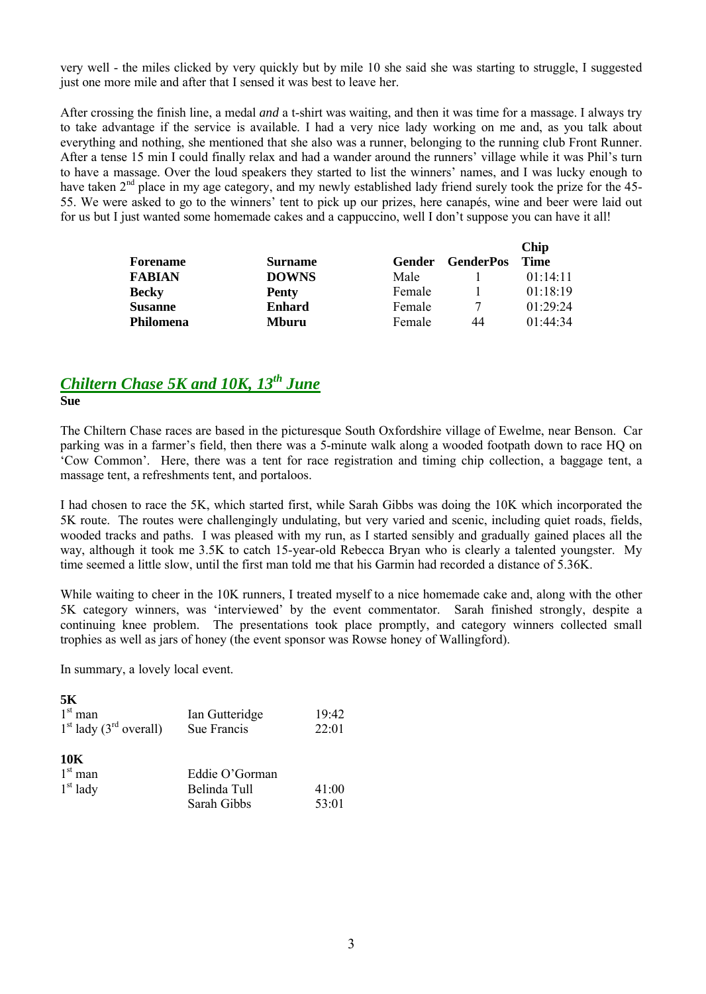very well - the miles clicked by very quickly but by mile 10 she said she was starting to struggle, I suggested just one more mile and after that I sensed it was best to leave her.

After crossing the finish line, a medal *and* a t-shirt was waiting, and then it was time for a massage. I always try to take advantage if the service is available. I had a very nice lady working on me and, as you talk about everything and nothing, she mentioned that she also was a runner, belonging to the running club Front Runner. After a tense 15 min I could finally relax and had a wander around the runners' village while it was Phil's turn to have a massage. Over the loud speakers they started to list the winners' names, and I was lucky enough to have taken 2<sup>nd</sup> place in my age category, and my newly established lady friend surely took the prize for the 45-55. We were asked to go to the winners' tent to pick up our prizes, here canapés, wine and beer were laid out for us but I just wanted some homemade cakes and a cappuccino, well I don't suppose you can have it all!

|                  |                |        |                  | <b>Chip</b> |
|------------------|----------------|--------|------------------|-------------|
| <b>Forename</b>  | <b>Surname</b> | Gender | <b>GenderPos</b> | <b>Time</b> |
| <b>FABIAN</b>    | <b>DOWNS</b>   | Male   |                  | 01.14.11    |
| <b>Becky</b>     | Penty          | Female |                  | 01:18:19    |
| <b>Susanne</b>   | <b>Enhard</b>  | Female | 7                | 01.29.24    |
| <b>Philomena</b> | Mburu          | Female | 44               | 01:44:34    |

# *Chiltern Chase 5K and 10K, 13th June*

**Sue**

The Chiltern Chase races are based in the picturesque South Oxfordshire village of Ewelme, near Benson. Car parking was in a farmer's field, then there was a 5-minute walk along a wooded footpath down to race HQ on 'Cow Common'. Here, there was a tent for race registration and timing chip collection, a baggage tent, a massage tent, a refreshments tent, and portaloos.

I had chosen to race the 5K, which started first, while Sarah Gibbs was doing the 10K which incorporated the 5K route. The routes were challengingly undulating, but very varied and scenic, including quiet roads, fields, wooded tracks and paths. I was pleased with my run, as I started sensibly and gradually gained places all the way, although it took me 3.5K to catch 15-year-old Rebecca Bryan who is clearly a talented youngster. My time seemed a little slow, until the first man told me that his Garmin had recorded a distance of 5.36K.

While waiting to cheer in the 10K runners, I treated myself to a nice homemade cake and, along with the other 5K category winners, was 'interviewed' by the event commentator. Sarah finished strongly, despite a continuing knee problem. The presentations took place promptly, and category winners collected small trophies as well as jars of honey (the event sponsor was Rowse honey of Wallingford).

In summary, a lovely local event.

| 5Κ                                   |                |       |
|--------------------------------------|----------------|-------|
| $1st$ man                            | Ian Gutteridge | 19:42 |
| $1st$ lady (3 <sup>rd</sup> overall) | Sue Francis    | 22:01 |
| 10K                                  |                |       |
| $1st$ man                            | Eddie O'Gorman |       |
| $1st$ lady                           | Belinda Tull   | 41:00 |
|                                      | Sarah Gibbs    | 53:01 |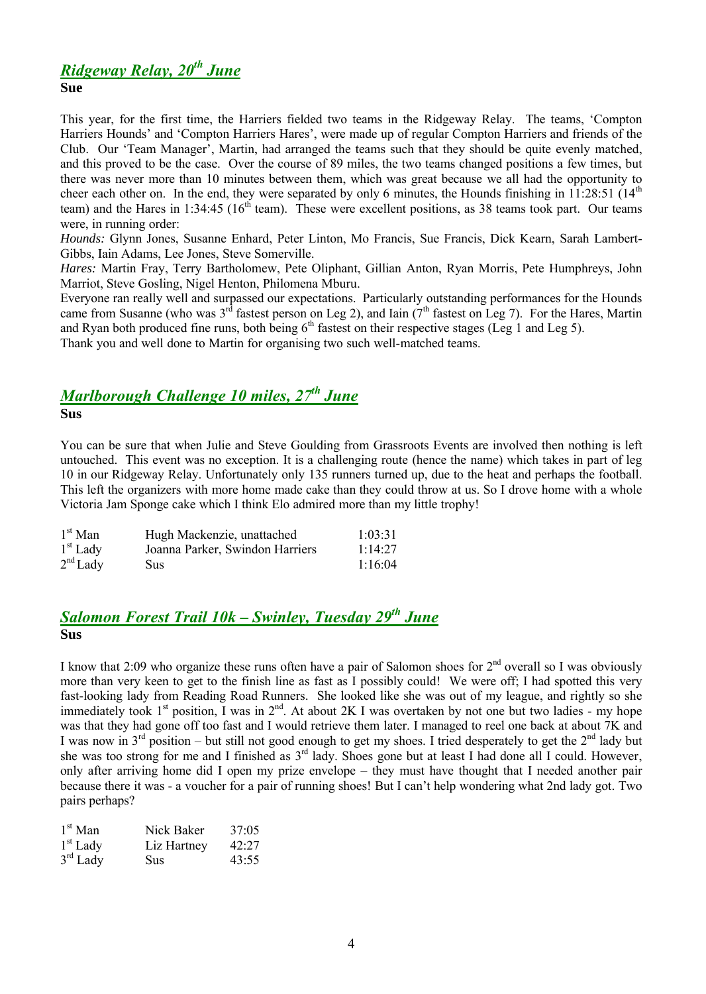### *Ridgeway Relay, 20th June* **Sue**

This year, for the first time, the Harriers fielded two teams in the Ridgeway Relay. The teams, 'Compton Harriers Hounds' and 'Compton Harriers Hares', were made up of regular Compton Harriers and friends of the Club. Our 'Team Manager', Martin, had arranged the teams such that they should be quite evenly matched, and this proved to be the case. Over the course of 89 miles, the two teams changed positions a few times, but there was never more than 10 minutes between them, which was great because we all had the opportunity to cheer each other on. In the end, they were separated by only 6 minutes, the Hounds finishing in 11:28:51 ( $14<sup>th</sup>$ team) and the Hares in 1:34:45 ( $16<sup>th</sup>$  team). These were excellent positions, as 38 teams took part. Our teams were, in running order:

*Hounds:* Glynn Jones, Susanne Enhard, Peter Linton, Mo Francis, Sue Francis, Dick Kearn, Sarah Lambert-Gibbs, Iain Adams, Lee Jones, Steve Somerville.

*Hares:* Martin Fray, Terry Bartholomew, Pete Oliphant, Gillian Anton, Ryan Morris, Pete Humphreys, John Marriot, Steve Gosling, Nigel Henton, Philomena Mburu.

Everyone ran really well and surpassed our expectations. Particularly outstanding performances for the Hounds came from Susanne (who was  $3^{rd}$  fastest person on Leg 2), and Iain ( $7^{th}$  fastest on Leg 7). For the Hares, Martin and Ryan both produced fine runs, both being  $6<sup>th</sup>$  fastest on their respective stages (Leg 1 and Leg 5). Thank you and well done to Martin for organising two such well-matched teams.

# *Marlborough Challenge 10 miles, 27th June* **Sus**

You can be sure that when Julie and Steve Goulding from Grassroots Events are involved then nothing is left untouched. This event was no exception. It is a challenging route (hence the name) which takes in part of leg 10 in our Ridgeway Relay. Unfortunately only 135 runners turned up, due to the heat and perhaps the football. This left the organizers with more home made cake than they could throw at us. So I drove home with a whole Victoria Jam Sponge cake which I think Elo admired more than my little trophy!

| $1st$ Man  | Hugh Mackenzie, unattached      | 1:03:31 |
|------------|---------------------------------|---------|
| $1st$ Lady | Joanna Parker, Swindon Harriers | 1:14:27 |
| $2nd$ Lady | Sus                             | 1:16:04 |

# *Salomon Forest Trail 10k – Swinley, Tuesday 29th June* **Sus**

I know that 2:09 who organize these runs often have a pair of Salomon shoes for  $2<sup>nd</sup>$  overall so I was obviously more than very keen to get to the finish line as fast as I possibly could! We were off; I had spotted this very fast-looking lady from Reading Road Runners. She looked like she was out of my league, and rightly so she immediately took 1<sup>st</sup> position, I was in 2<sup>nd</sup>. At about 2K I was overtaken by not one but two ladies - my hope was that they had gone off too fast and I would retrieve them later. I managed to reel one back at about 7K and I was now in  $3^{rd}$  position – but still not good enough to get my shoes. I tried desperately to get the  $2^{nd}$  lady but she was too strong for me and I finished as 3<sup>rd</sup> lady. Shoes gone but at least I had done all I could. However, only after arriving home did I open my prize envelope – they must have thought that I needed another pair because there it was - a voucher for a pair of running shoes! But I can't help wondering what 2nd lady got. Two pairs perhaps?

| $1st$ Man  | Nick Baker  | 37:05 |
|------------|-------------|-------|
| $1st$ Lady | Liz Hartney | 42:27 |
| $3rd$ Lady | Sus         | 43:55 |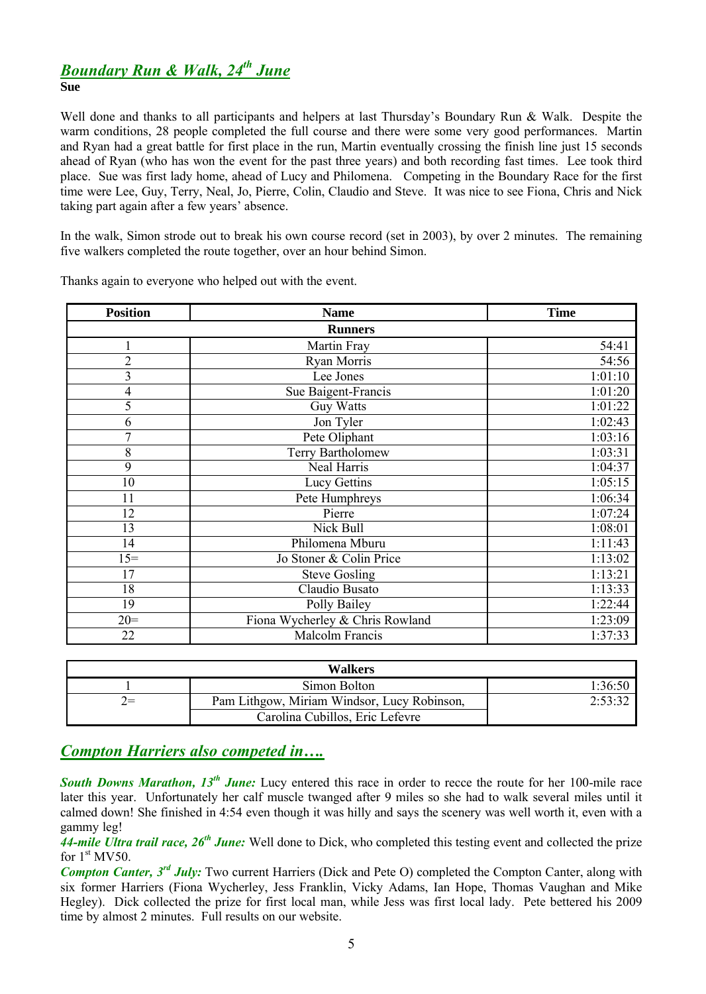# *Boundary Run & Walk, 24th June*

### **Sue**

Well done and thanks to all participants and helpers at last Thursday's Boundary Run & Walk. Despite the warm conditions, 28 people completed the full course and there were some very good performances. Martin and Ryan had a great battle for first place in the run, Martin eventually crossing the finish line just 15 seconds ahead of Ryan (who has won the event for the past three years) and both recording fast times. Lee took third place. Sue was first lady home, ahead of Lucy and Philomena. Competing in the Boundary Race for the first time were Lee, Guy, Terry, Neal, Jo, Pierre, Colin, Claudio and Steve. It was nice to see Fiona, Chris and Nick taking part again after a few years' absence.

In the walk, Simon strode out to break his own course record (set in 2003), by over 2 minutes. The remaining five walkers completed the route together, over an hour behind Simon.

| <b>Position</b>          | <b>Name</b>                     | <b>Time</b> |  |  |  |  |
|--------------------------|---------------------------------|-------------|--|--|--|--|
| <b>Runners</b>           |                                 |             |  |  |  |  |
|                          | Martin Fray                     | 54:41       |  |  |  |  |
| $\overline{2}$           | Ryan Morris                     | 54:56       |  |  |  |  |
| 3                        | Lee Jones                       | 1:01:10     |  |  |  |  |
| $\overline{\mathcal{A}}$ | Sue Baigent-Francis             | 1:01:20     |  |  |  |  |
| 5                        | <b>Guy Watts</b>                | 1:01:22     |  |  |  |  |
| 6                        | Jon Tyler                       | 1:02:43     |  |  |  |  |
| $\overline{7}$           | Pete Oliphant                   | 1:03:16     |  |  |  |  |
| 8                        | Terry Bartholomew               | 1:03:31     |  |  |  |  |
| 9                        | Neal Harris                     | 1:04:37     |  |  |  |  |
| 10                       | Lucy Gettins                    | 1:05:15     |  |  |  |  |
| 11                       | Pete Humphreys                  | 1:06:34     |  |  |  |  |
| 12                       | Pierre                          | 1:07:24     |  |  |  |  |
| 13                       | Nick Bull                       | 1:08:01     |  |  |  |  |
| 14                       | Philomena Mburu                 | 1:11:43     |  |  |  |  |
| $15 =$                   | Jo Stoner & Colin Price         | 1:13:02     |  |  |  |  |
| 17                       | <b>Steve Gosling</b>            | 1:13:21     |  |  |  |  |
| 18                       | Claudio Busato                  | 1:13:33     |  |  |  |  |
| 19                       | Polly Bailey                    | 1:22:44     |  |  |  |  |
| $20=$                    | Fiona Wycherley & Chris Rowland | 1:23:09     |  |  |  |  |
| 22                       | Malcolm Francis                 | 1:37:33     |  |  |  |  |

Thanks again to everyone who helped out with the event.

|            | Walkers                                     |         |
|------------|---------------------------------------------|---------|
|            | Simon Bolton                                | 1:36:50 |
| $\prime =$ | Pam Lithgow, Miriam Windsor, Lucy Robinson, | 2:53:32 |
|            | Carolina Cubillos, Eric Lefevre             |         |

# *Compton Harriers also competed in….*

**South Downs Marathon, 13<sup>th</sup> June:** Lucy entered this race in order to recce the route for her 100-mile race later this year. Unfortunately her calf muscle twanged after 9 miles so she had to walk several miles until it calmed down! She finished in 4:54 even though it was hilly and says the scenery was well worth it, even with a gammy leg!

*44-mile Ultra trail race, 26th June:* Well done to Dick, who completed this testing event and collected the prize for  $1<sup>st</sup> MV50$ .

*Compton Canter, 3 rd July:* Two current Harriers (Dick and Pete O) completed the Compton Canter, along with six former Harriers (Fiona Wycherley, Jess Franklin, Vicky Adams, Ian Hope, Thomas Vaughan and Mike Hegley). Dick collected the prize for first local man, while Jess was first local lady. Pete bettered his 2009 time by almost 2 minutes. Full results on our website.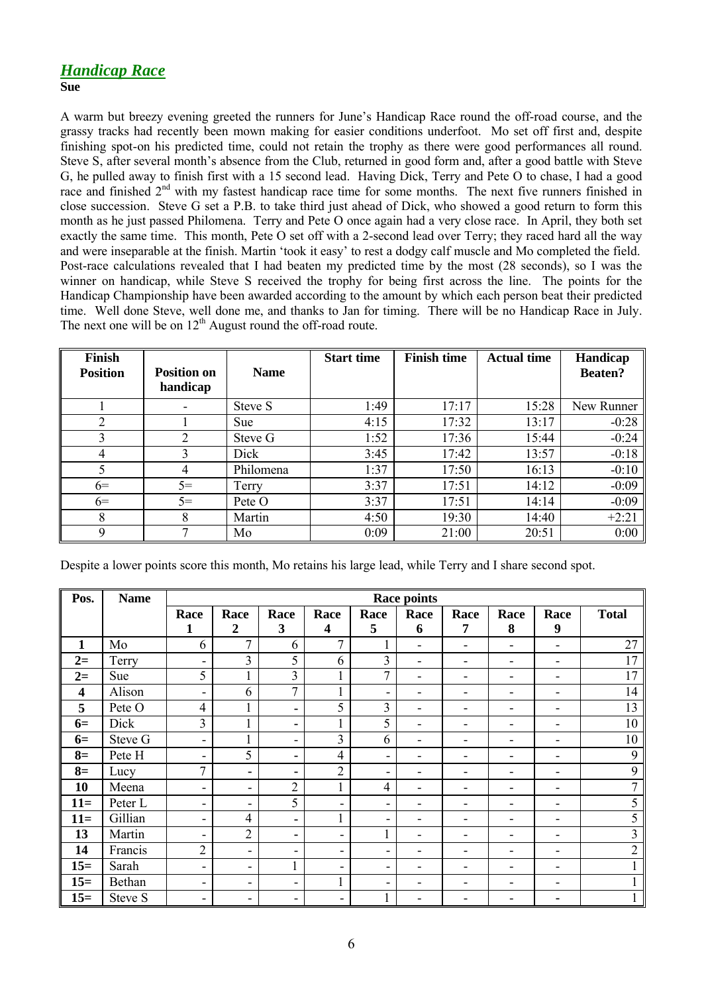### **Sue**

A warm but breezy evening greeted the runners for June's Handicap Race round the off-road course, and the grassy tracks had recently been mown making for easier conditions underfoot. Mo set off first and, despite finishing spot-on his predicted time, could not retain the trophy as there were good performances all round. Steve S, after several month's absence from the Club, returned in good form and, after a good battle with Steve G, he pulled away to finish first with a 15 second lead. Having Dick, Terry and Pete O to chase, I had a good race and finished  $2<sup>nd</sup>$  with my fastest handicap race time for some months. The next five runners finished in close succession. Steve G set a P.B. to take third just ahead of Dick, who showed a good return to form this month as he just passed Philomena. Terry and Pete O once again had a very close race. In April, they both set exactly the same time. This month, Pete O set off with a 2-second lead over Terry; they raced hard all the way and were inseparable at the finish. Martin 'took it easy' to rest a dodgy calf muscle and Mo completed the field. Post-race calculations revealed that I had beaten my predicted time by the most (28 seconds), so I was the winner on handicap, while Steve S received the trophy for being first across the line. The points for the Handicap Championship have been awarded according to the amount by which each person beat their predicted time. Well done Steve, well done me, and thanks to Jan for timing. There will be no Handicap Race in July. The next one will be on  $12<sup>th</sup>$  August round the off-road route.

| <b>Finish</b>   |                                |             | <b>Start time</b> | <b>Finish time</b> | <b>Actual time</b> | Handicap       |
|-----------------|--------------------------------|-------------|-------------------|--------------------|--------------------|----------------|
| <b>Position</b> | <b>Position on</b><br>handicap | <b>Name</b> |                   |                    |                    | <b>Beaten?</b> |
|                 |                                | Steve S     | 1:49              | 17:17              | 15:28              | New Runner     |
| $\overline{2}$  |                                | <b>Sue</b>  | 4:15              | 17:32              | 13:17              | $-0:28$        |
| 3               | 2                              | Steve G     | 1:52              | 17:36              | 15:44              | $-0:24$        |
| 4               |                                | Dick        | 3:45              | 17:42              | 13:57              | $-0:18$        |
| 5               | 4                              | Philomena   | 1:37              | 17:50              | 16:13              | $-0:10$        |
| $6=$            | $5=$                           | Terry       | 3:37              | 17:51              | 14:12              | $-0:09$        |
| $6=$            | $5=$                           | Pete O      | 3:37              | 17:51              | 14:14              | $-0:09$        |
| 8               | 8                              | Martin      | 4:50              | 19:30              | 14:40              | $+2:21$        |
| Q               |                                | Mo          | 0:09              | 21:00              | 20:51              | 0:00           |

Despite a lower points score this month, Mo retains his large lead, while Terry and I share second spot.

| Pos.  | <b>Name</b> | <b>Race points</b>       |                          |                          |                         |                          |                |                          |                          |                              |                |
|-------|-------------|--------------------------|--------------------------|--------------------------|-------------------------|--------------------------|----------------|--------------------------|--------------------------|------------------------------|----------------|
|       |             | Race                     | Race                     | Race                     | Race                    | Race                     | Race           | Race                     | Race                     | Race                         | <b>Total</b>   |
|       |             | 1                        | $\boldsymbol{2}$         | 3                        | $\overline{\mathbf{4}}$ | 5                        | 6              | 7                        | 8                        | 9                            |                |
| 1     | Mo          | 6                        | 7                        | 6                        | 7                       |                          | $\blacksquare$ |                          | $\blacksquare$           | $\overline{\phantom{0}}$     | 27             |
| $2=$  | Terry       | ۰                        | $\overline{3}$           | 5                        | 6                       | 3                        | $\blacksquare$ | $\overline{\phantom{0}}$ | $\overline{\phantom{a}}$ | $\qquad \qquad \blacksquare$ | 17             |
| $2=$  | Sue         | 5                        |                          | $\overline{3}$           |                         | $\overline{7}$           | Ξ.             |                          | $\overline{\phantom{a}}$ | ۰                            | 17             |
| 4     | Alison      | $\overline{\phantom{a}}$ | 6                        | $\overline{7}$           | 1                       | -                        | -              |                          | $\overline{\phantom{a}}$ | ۰                            | 14             |
| 5     | Pete O      | $\overline{4}$           | 1                        | ۰                        | 5                       | 3                        | ۰              | $\overline{\phantom{0}}$ | $\overline{\phantom{a}}$ | $\overline{\phantom{0}}$     | 13             |
| $6=$  | Dick        | $\overline{3}$           | 1                        | ۰                        |                         | 5                        | -              |                          | -                        | ۰                            | 10             |
| $6=$  | Steve G     | $\blacksquare$           | 1                        | $\overline{\phantom{a}}$ | 3                       | 6                        | Ξ.             |                          | -                        | ۰                            | 10             |
| $8=$  | Pete H      | $\overline{\phantom{a}}$ | 5                        | ۰                        | $\overline{4}$          | ۰                        | -              |                          | $\overline{\phantom{0}}$ | ۰                            | 9              |
| $8=$  | Lucy        | 7                        | ٠                        | ۰                        | $\overline{2}$          | ۰                        | -              |                          |                          |                              | 9              |
| 10    | Meena       | $\overline{\phantom{a}}$ | $\overline{\phantom{a}}$ | $\overline{2}$           | $\mathbf{1}$            | $\overline{4}$           | Ξ.             |                          | $\overline{\phantom{a}}$ | ۰                            | 7              |
| $11=$ | Peter L     | $\overline{\phantom{a}}$ | ۰                        | 5                        | -                       | -                        | -              |                          | $\overline{\phantom{a}}$ | ۰                            | 5              |
| $11=$ | Gillian     | $\overline{\phantom{a}}$ | $\overline{4}$           | ۰                        | $\mathbf{1}$            | -                        | -              |                          | $\overline{\phantom{0}}$ | ۰                            | 5              |
| 13    | Martin      | $\overline{\phantom{a}}$ | $\overline{2}$           | ٠                        | ۰                       | 1                        | -              |                          |                          | ۰                            | 3              |
| 14    | Francis     | $\overline{c}$           | $\overline{\phantom{a}}$ | $\overline{\phantom{a}}$ | -                       | Ξ.                       | -              | $\overline{\phantom{0}}$ | $\overline{\phantom{a}}$ | $\qquad \qquad \blacksquare$ | $\overline{2}$ |
| $15=$ | Sarah       | -                        | -                        | 1                        | -                       | -                        | ۰              |                          | $\overline{\phantom{0}}$ | ۰                            |                |
| $15=$ | Bethan      | $\overline{\phantom{a}}$ | ٠                        | $\overline{\phantom{a}}$ | T.                      | $\overline{\phantom{0}}$ | -              |                          |                          | ۰                            |                |
| $15=$ | Steve S     | ۰                        | -                        | ۰                        | -                       |                          | Ξ.             |                          |                          |                              |                |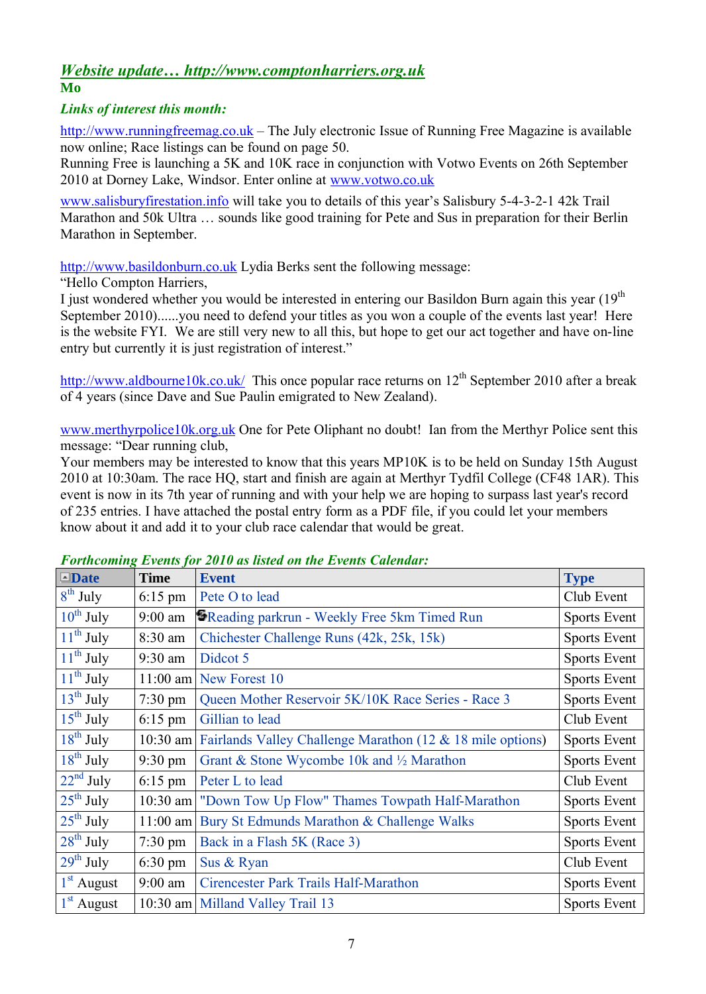### *Website update… http://www.comptonharriers.org.uk* **Mo**

## *Links of interest this month:*

http://www.runningfreemag.co.uk – The July electronic Issue of Running Free Magazine is available now online; Race listings can be found on page 50.

Running Free is launching a 5K and 10K race in conjunction with Votwo Events on 26th September 2010 at Dorney Lake, Windsor. Enter online at www.votwo.co.uk

www.salisburyfirestation.info will take you to details of this year's Salisbury 5-4-3-2-1 42k Trail Marathon and 50k Ultra … sounds like good training for Pete and Sus in preparation for their Berlin Marathon in September.

http://www.basildonburn.co.uk Lydia Berks sent the following message:

"Hello Compton Harriers,

I just wondered whether you would be interested in entering our Basildon Burn again this year  $(19<sup>th</sup>$ September 2010)......you need to defend your titles as you won a couple of the events last year! Here is the website FYI. We are still very new to all this, but hope to get our act together and have on-line entry but currently it is just registration of interest."

http://www.aldbourne10k.co.uk/ This once popular race returns on  $12^{th}$  September 2010 after a break of 4 years (since Dave and Sue Paulin emigrated to New Zealand).

www.merthyrpolice10k.org.uk One for Pete Oliphant no doubt! Ian from the Merthyr Police sent this message: "Dear running club,

Your members may be interested to know that this years MP10K is to be held on Sunday 15th August 2010 at 10:30am. The race HQ, start and finish are again at Merthyr Tydfil College (CF48 1AR). This event is now in its 7th year of running and with your help we are hoping to surpass last year's record of 235 entries. I have attached the postal entry form as a PDF file, if you could let your members know about it and add it to your club race calendar that would be great.

| $\Box$ Date           | <b>Time</b>       | <b>Event</b>                                                        | <b>Type</b>  |
|-----------------------|-------------------|---------------------------------------------------------------------|--------------|
| $8th$ July            | $6:15$ pm         | Pete O to lead                                                      | Club Event   |
| $10^{th}$ July        | $9:00$ am         | <b>S</b> Reading parkrun - Weekly Free 5km Timed Run                | Sports Event |
| $11^{th}$ July        | $8:30$ am         | Chichester Challenge Runs (42k, 25k, 15k)                           | Sports Event |
| $11^{th}$ July        | $9:30$ am         | Didcot 5                                                            | Sports Event |
| $11^{th}$ July        |                   | $11:00$ am New Forest 10                                            | Sports Event |
| $13th$ July           | $7:30 \text{ pm}$ | Queen Mother Reservoir 5K/10K Race Series - Race 3                  | Sports Event |
| $15th$ July           | $6:15$ pm         | Gillian to lead                                                     | Club Event   |
| $18^{th}$ July        |                   | 10:30 am Fairlands Valley Challenge Marathon (12 & 18 mile options) | Sports Event |
| $18^{th}$ July        | $9:30 \text{ pm}$ | Grant & Stone Wycombe 10k and $\frac{1}{2}$ Marathon                | Sports Event |
| $22nd$ July           | $6:15$ pm         | Peter L to lead                                                     | Club Event   |
| $25^{th}$ July        | $10:30$ am        | "Down Tow Up Flow" Thames Towpath Half-Marathon                     | Sports Event |
| $25^{\text{th}}$ July |                   | 11:00 am Bury St Edmunds Marathon & Challenge Walks                 | Sports Event |
| $28^{th}$ July        | $7:30 \text{ pm}$ | Back in a Flash 5K (Race 3)                                         | Sports Event |
| $29^{th}$ July        | $6:30 \text{ pm}$ | Sus & Ryan                                                          | Club Event   |
| $1st$ August          | $9:00$ am         | Cirencester Park Trails Half-Marathon                               | Sports Event |
| $1st$ August          |                   | 10:30 am Milland Valley Trail 13                                    | Sports Event |

## *Forthcoming Events for 2010 as listed on the Events Calendar:*